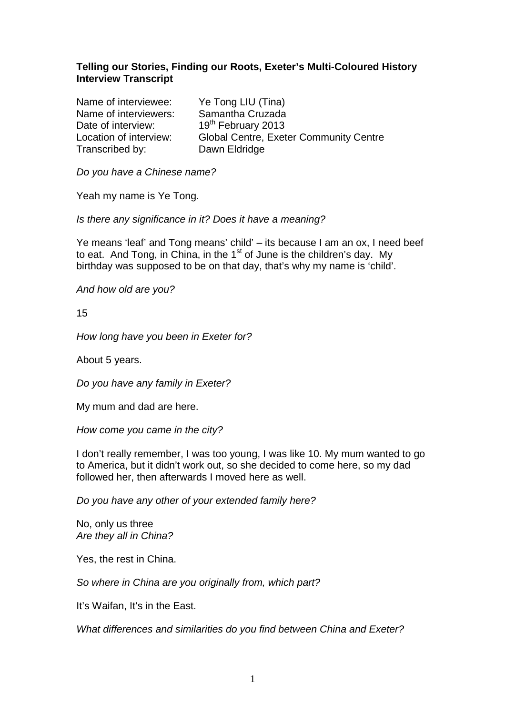# **Telling our Stories, Finding our Roots, Exeter's Multi-Coloured History Interview Transcript**

Name of interviewee: Ye Tong LIU (Tina) Name of interviewers: Samantha Cruzada Date of interview: 19<sup>th</sup> February 2013 Transcribed by: Dawn Eldridge

Location of interview: Global Centre, Exeter Community Centre

Do you have a Chinese name?

Yeah my name is Ye Tong.

Is there any significance in it? Does it have a meaning?

Ye means 'leaf' and Tong means' child' – its because I am an ox, I need beef to eat. And Tong, in China, in the  $1<sup>st</sup>$  of June is the children's day. My birthday was supposed to be on that day, that's why my name is 'child'.

And how old are you?

15

How long have you been in Exeter for?

About 5 years.

Do you have any family in Exeter?

My mum and dad are here.

How come you came in the city?

I don't really remember, I was too young, I was like 10. My mum wanted to go to America, but it didn't work out, so she decided to come here, so my dad followed her, then afterwards I moved here as well.

Do you have any other of your extended family here?

No, only us three Are they all in China?

Yes, the rest in China.

So where in China are you originally from, which part?

It's Waifan, It's in the East.

What differences and similarities do you find between China and Exeter?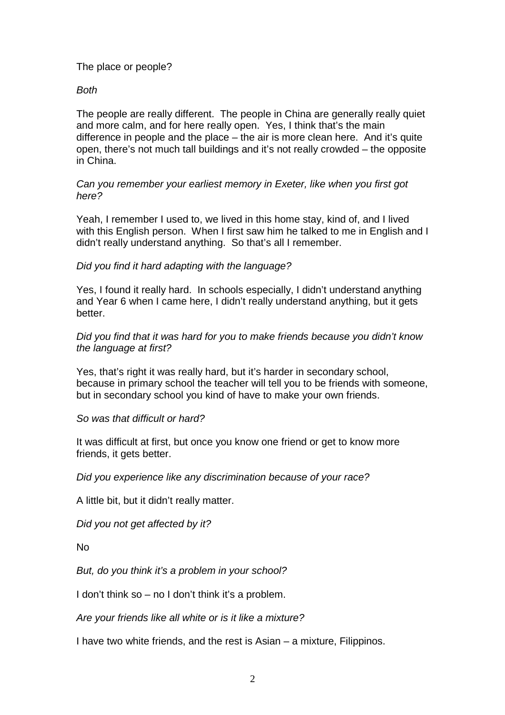# The place or people?

### Both

The people are really different. The people in China are generally really quiet and more calm, and for here really open. Yes, I think that's the main difference in people and the place – the air is more clean here. And it's quite open, there's not much tall buildings and it's not really crowded – the opposite in China.

### Can you remember your earliest memory in Exeter, like when you first got here?

Yeah, I remember I used to, we lived in this home stay, kind of, and I lived with this English person. When I first saw him he talked to me in English and I didn't really understand anything. So that's all I remember.

# Did you find it hard adapting with the language?

Yes, I found it really hard. In schools especially, I didn't understand anything and Year 6 when I came here, I didn't really understand anything, but it gets better.

### Did you find that it was hard for you to make friends because you didn't know the language at first?

Yes, that's right it was really hard, but it's harder in secondary school, because in primary school the teacher will tell you to be friends with someone, but in secondary school you kind of have to make your own friends.

#### So was that difficult or hard?

It was difficult at first, but once you know one friend or get to know more friends, it gets better.

Did you experience like any discrimination because of your race?

A little bit, but it didn't really matter.

Did you not get affected by it?

No

But, do you think it's a problem in your school?

I don't think so – no I don't think it's a problem.

Are your friends like all white or is it like a mixture?

I have two white friends, and the rest is Asian – a mixture, Filippinos.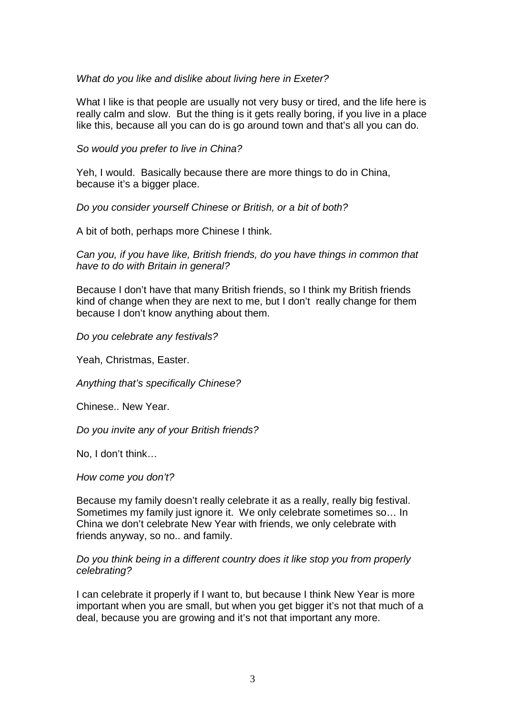# What do you like and dislike about living here in Exeter?

What I like is that people are usually not very busy or tired, and the life here is really calm and slow. But the thing is it gets really boring, if you live in a place like this, because all you can do is go around town and that's all you can do.

So would you prefer to live in China?

Yeh, I would. Basically because there are more things to do in China, because it's a bigger place.

Do you consider yourself Chinese or British, or a bit of both?

A bit of both, perhaps more Chinese I think.

Can you, if you have like, British friends, do you have things in common that have to do with Britain in general?

Because I don't have that many British friends, so I think my British friends kind of change when they are next to me, but I don't really change for them because I don't know anything about them.

Do you celebrate any festivals?

Yeah, Christmas, Easter.

Anything that's specifically Chinese?

Chinese.. New Year.

Do you invite any of your British friends?

No, I don't think…

How come you don't?

Because my family doesn't really celebrate it as a really, really big festival. Sometimes my family just ignore it. We only celebrate sometimes so... In China we don't celebrate New Year with friends, we only celebrate with friends anyway, so no.. and family.

#### Do you think being in a different country does it like stop you from properly celebrating?

I can celebrate it properly if I want to, but because I think New Year is more important when you are small, but when you get bigger it's not that much of a deal, because you are growing and it's not that important any more.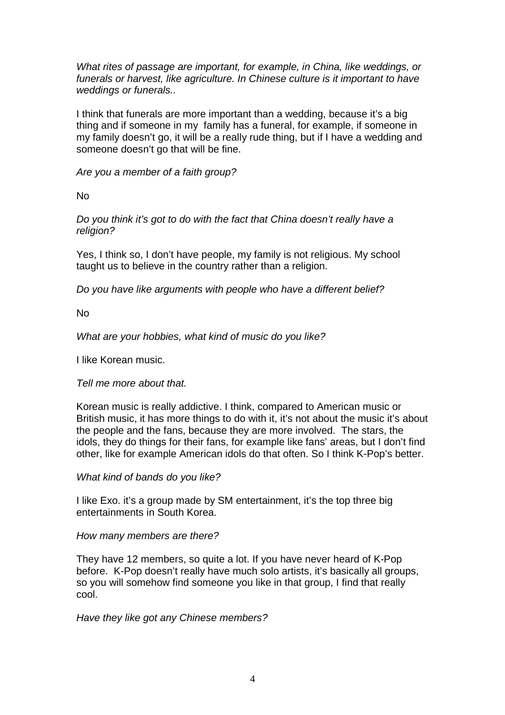What rites of passage are important, for example, in China, like weddings, or funerals or harvest, like agriculture. In Chinese culture is it important to have weddings or funerals..

I think that funerals are more important than a wedding, because it's a big thing and if someone in my family has a funeral, for example, if someone in my family doesn't go, it will be a really rude thing, but if I have a wedding and someone doesn't go that will be fine.

Are you a member of a faith group?

No

Do you think it's got to do with the fact that China doesn't really have a religion?

Yes, I think so, I don't have people, my family is not religious. My school taught us to believe in the country rather than a religion.

Do you have like arguments with people who have a different belief?

No

What are your hobbies, what kind of music do you like?

I like Korean music.

#### Tell me more about that.

Korean music is really addictive. I think, compared to American music or British music, it has more things to do with it, it's not about the music it's about the people and the fans, because they are more involved. The stars, the idols, they do things for their fans, for example like fans' areas, but I don't find other, like for example American idols do that often. So I think K-Pop's better.

What kind of bands do you like?

I like Exo. it's a group made by SM entertainment, it's the top three big entertainments in South Korea.

#### How many members are there?

They have 12 members, so quite a lot. If you have never heard of K-Pop before. K-Pop doesn't really have much solo artists, it's basically all groups, so you will somehow find someone you like in that group, I find that really cool.

Have they like got any Chinese members?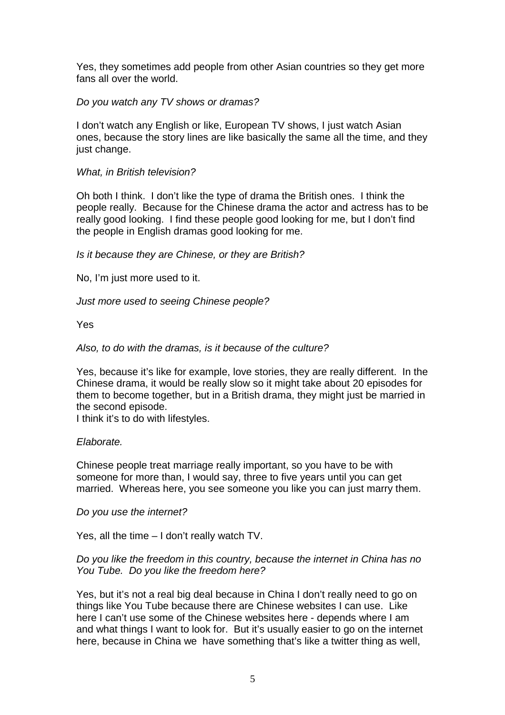Yes, they sometimes add people from other Asian countries so they get more fans all over the world.

### Do you watch any TV shows or dramas?

I don't watch any English or like, European TV shows, I just watch Asian ones, because the story lines are like basically the same all the time, and they just change.

### What, in British television?

Oh both I think. I don't like the type of drama the British ones. I think the people really. Because for the Chinese drama the actor and actress has to be really good looking. I find these people good looking for me, but I don't find the people in English dramas good looking for me.

Is it because they are Chinese, or they are British?

No, I'm just more used to it.

Just more used to seeing Chinese people?

Yes

Also, to do with the dramas, is it because of the culture?

Yes, because it's like for example, love stories, they are really different. In the Chinese drama, it would be really slow so it might take about 20 episodes for them to become together, but in a British drama, they might just be married in the second episode.

I think it's to do with lifestyles.

#### Elaborate.

Chinese people treat marriage really important, so you have to be with someone for more than, I would say, three to five years until you can get married. Whereas here, you see someone you like you can just marry them.

#### Do you use the internet?

Yes, all the time – I don't really watch TV.

### Do you like the freedom in this country, because the internet in China has no You Tube. Do you like the freedom here?

Yes, but it's not a real big deal because in China I don't really need to go on things like You Tube because there are Chinese websites I can use. Like here I can't use some of the Chinese websites here - depends where I am and what things I want to look for. But it's usually easier to go on the internet here, because in China we have something that's like a twitter thing as well,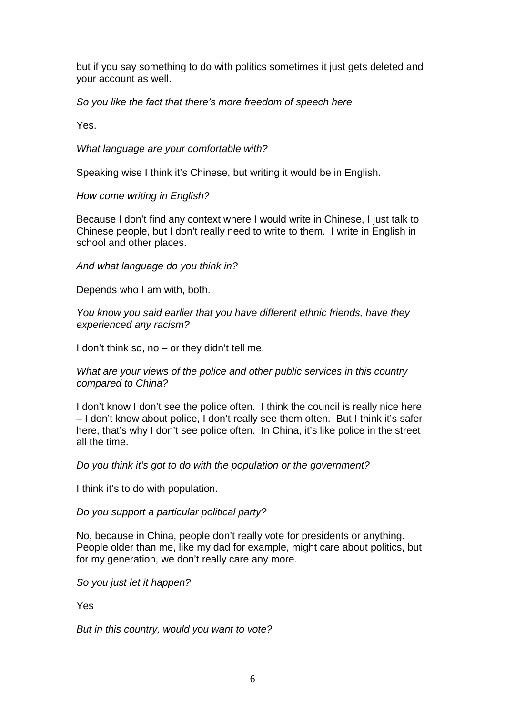but if you say something to do with politics sometimes it just gets deleted and your account as well.

So you like the fact that there's more freedom of speech here

Yes.

What language are your comfortable with?

Speaking wise I think it's Chinese, but writing it would be in English.

How come writing in English?

Because I don't find any context where I would write in Chinese, I just talk to Chinese people, but I don't really need to write to them. I write in English in school and other places.

And what language do you think in?

Depends who I am with, both.

You know you said earlier that you have different ethnic friends, have they experienced any racism?

I don't think so, no – or they didn't tell me.

What are your views of the police and other public services in this country compared to China?

I don't know I don't see the police often. I think the council is really nice here – I don't know about police, I don't really see them often. But I think it's safer here, that's why I don't see police often. In China, it's like police in the street all the time.

Do you think it's got to do with the population or the government?

I think it's to do with population.

Do you support a particular political party?

No, because in China, people don't really vote for presidents or anything. People older than me, like my dad for example, might care about politics, but for my generation, we don't really care any more.

So you just let it happen?

Yes

But in this country, would you want to vote?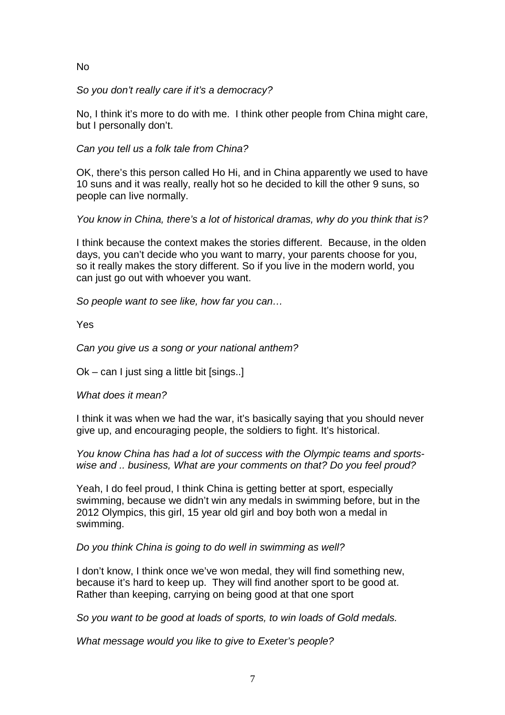# No

So you don't really care if it's a democracy?

No, I think it's more to do with me. I think other people from China might care, but I personally don't.

Can you tell us a folk tale from China?

OK, there's this person called Ho Hi, and in China apparently we used to have 10 suns and it was really, really hot so he decided to kill the other 9 suns, so people can live normally.

You know in China, there's a lot of historical dramas, why do you think that is?

I think because the context makes the stories different. Because, in the olden days, you can't decide who you want to marry, your parents choose for you, so it really makes the story different. So if you live in the modern world, you can just go out with whoever you want.

So people want to see like, how far you can…

Yes

Can you give us a song or your national anthem?

Ok – can I just sing a little bit [sings..]

What does it mean?

I think it was when we had the war, it's basically saying that you should never give up, and encouraging people, the soldiers to fight. It's historical.

You know China has had a lot of success with the Olympic teams and sportswise and .. business, What are your comments on that? Do you feel proud?

Yeah, I do feel proud, I think China is getting better at sport, especially swimming, because we didn't win any medals in swimming before, but in the 2012 Olympics, this girl, 15 year old girl and boy both won a medal in swimming.

Do you think China is going to do well in swimming as well?

I don't know, I think once we've won medal, they will find something new, because it's hard to keep up. They will find another sport to be good at. Rather than keeping, carrying on being good at that one sport

So you want to be good at loads of sports, to win loads of Gold medals.

What message would you like to give to Exeter's people?